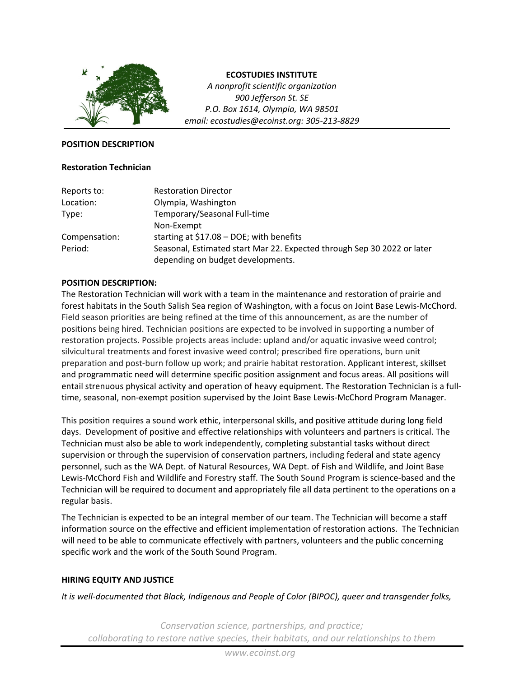

### **ECOSTUDIES INSTITUTE**

*A nonprofit scientific organization 900 Jefferson St. SE P.O. Box 1614, Olympia, WA 98501 email: ecostudies@ecoinst.org: 305‐213‐8829*

#### **POSITION DESCRIPTION**

#### **Restoration Technician**

| Reports to:   | <b>Restoration Director</b>                                             |
|---------------|-------------------------------------------------------------------------|
| Location:     | Olympia, Washington                                                     |
| Type:         | Temporary/Seasonal Full-time                                            |
|               | Non-Exempt                                                              |
| Compensation: | starting at $$17.08 - DOE$ ; with benefits                              |
| Period:       | Seasonal, Estimated start Mar 22. Expected through Sep 30 2022 or later |
|               | depending on budget developments.                                       |

## **POSITION DESCRIPTION:**

The Restoration Technician will work with a team in the maintenance and restoration of prairie and forest habitats in the South Salish Sea region of Washington, with a focus on Joint Base Lewis‐McChord. Field season priorities are being refined at the time of this announcement, as are the number of positions being hired. Technician positions are expected to be involved in supporting a number of restoration projects. Possible projects areas include: upland and/or aquatic invasive weed control; silvicultural treatments and forest invasive weed control; prescribed fire operations, burn unit preparation and post‐burn follow up work; and prairie habitat restoration. Applicant interest, skillset and programmatic need will determine specific position assignment and focus areas. All positions will entail strenuous physical activity and operation of heavy equipment. The Restoration Technician is a full‐ time, seasonal, non‐exempt position supervised by the Joint Base Lewis‐McChord Program Manager.

This position requires a sound work ethic, interpersonal skills, and positive attitude during long field days. Development of positive and effective relationships with volunteers and partners is critical. The Technician must also be able to work independently, completing substantial tasks without direct supervision or through the supervision of conservation partners, including federal and state agency personnel, such as the WA Dept. of Natural Resources, WA Dept. of Fish and Wildlife, and Joint Base Lewis‐McChord Fish and Wildlife and Forestry staff. The South Sound Program is science‐based and the Technician will be required to document and appropriately file all data pertinent to the operations on a regular basis.

The Technician is expected to be an integral member of our team. The Technician will become a staff information source on the effective and efficient implementation of restoration actions. The Technician will need to be able to communicate effectively with partners, volunteers and the public concerning specific work and the work of the South Sound Program.

### **HIRING EQUITY AND JUSTICE**

*It is well‐documented that Black, Indigenous and People of Color (BIPOC), queer and transgender folks,*

*Conservation science, partnerships, and practice; collaborating to restore native species, their habitats, and our relationships to them*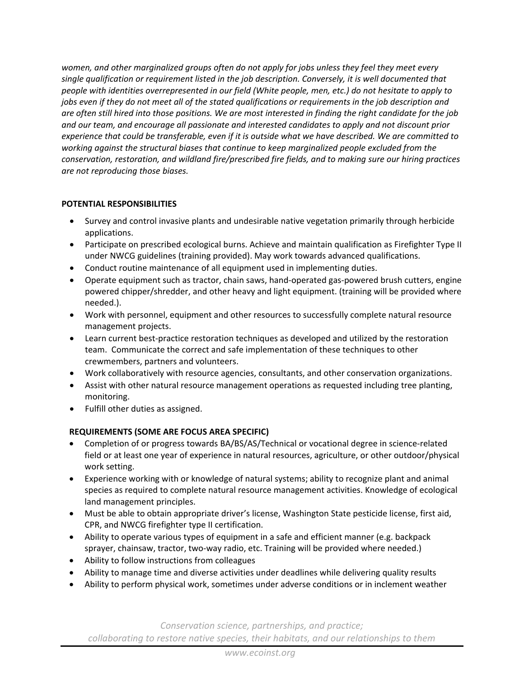*women, and other marginalized groups often do not apply for jobs unless they feel they meet every single qualification or requirement listed in the job description. Conversely, it is well documented that people with identities overrepresented in our field (White people, men, etc.) do not hesitate to apply to* jobs even if they do not meet all of the stated qualifications or requirements in the job description and are often still hired into those positions. We are most interested in finding the right candidate for the job *and our team, and encourage all passionate and interested candidates to apply and not discount prior* experience that could be transferable, even if it is outside what we have described. We are committed to *working against the structural biases that continue to keep marginalized people excluded from the conservation, restoration, and wildland fire/prescribed fire fields, and to making sure our hiring practices are not reproducing those biases.*

# **POTENTIAL RESPONSIBILITIES**

- Survey and control invasive plants and undesirable native vegetation primarily through herbicide applications.
- Participate on prescribed ecological burns. Achieve and maintain qualification as Firefighter Type II under NWCG guidelines (training provided). May work towards advanced qualifications.
- Conduct routine maintenance of all equipment used in implementing duties.
- Operate equipment such as tractor, chain saws, hand‐operated gas‐powered brush cutters, engine powered chipper/shredder, and other heavy and light equipment. (training will be provided where needed.).
- Work with personnel, equipment and other resources to successfully complete natural resource management projects.
- Learn current best-practice restoration techniques as developed and utilized by the restoration team. Communicate the correct and safe implementation of these techniques to other crewmembers, partners and volunteers.
- Work collaboratively with resource agencies, consultants, and other conservation organizations.
- Assist with other natural resource management operations as requested including tree planting, monitoring.
- Fulfill other duties as assigned.

# **REQUIREMENTS (SOME ARE FOCUS AREA SPECIFIC)**

- Completion of or progress towards BA/BS/AS/Technical or vocational degree in science‐related field or at least one year of experience in natural resources, agriculture, or other outdoor/physical work setting.
- Experience working with or knowledge of natural systems; ability to recognize plant and animal species as required to complete natural resource management activities. Knowledge of ecological land management principles.
- Must be able to obtain appropriate driver's license, Washington State pesticide license, first aid, CPR, and NWCG firefighter type II certification.
- Ability to operate various types of equipment in a safe and efficient manner (e.g. backpack sprayer, chainsaw, tractor, two-way radio, etc. Training will be provided where needed.)
- Ability to follow instructions from colleagues
- Ability to manage time and diverse activities under deadlines while delivering quality results
- Ability to perform physical work, sometimes under adverse conditions or in inclement weather